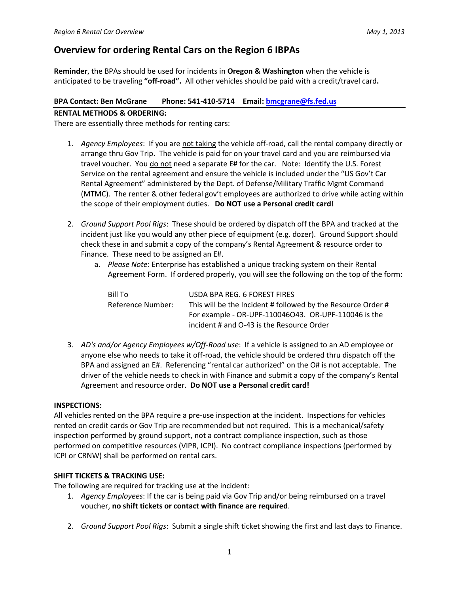# Overview for ordering Rental Cars on the Region 6 IBPAs

Reminder, the BPAs should be used for incidents in Oregon & Washington when the vehicle is anticipated to be traveling "off-road". All other vehicles should be paid with a credit/travel card.

#### BPA Contact: Ben McGrane Phone: 541-410-5714 Email: bmcgrane@fs.fed.us

#### RENTAL METHODS & ORDERING:

There are essentially three methods for renting cars:

- 1. Agency Employees: If you are not taking the vehicle off-road, call the rental company directly or arrange thru Gov Trip. The vehicle is paid for on your travel card and you are reimbursed via travel voucher. You do not need a separate E# for the car. Note: Identify the U.S. Forest Service on the rental agreement and ensure the vehicle is included under the "US Gov't Car Rental Agreement" administered by the Dept. of Defense/Military Traffic Mgmt Command (MTMC). The renter & other federal gov't employees are authorized to drive while acting within the scope of their employment duties. Do NOT use a Personal credit card!
- 2. Ground Support Pool Rigs: These should be ordered by dispatch off the BPA and tracked at the incident just like you would any other piece of equipment (e.g. dozer). Ground Support should check these in and submit a copy of the company's Rental Agreement & resource order to Finance. These need to be assigned an E#.
	- a. Please Note: Enterprise has established a unique tracking system on their Rental Agreement Form. If ordered properly, you will see the following on the top of the form:

| Bill To           | USDA BPA REG. 6 FOREST FIRES                                 |
|-------------------|--------------------------------------------------------------|
| Reference Number: | This will be the Incident # followed by the Resource Order # |
|                   | For example - OR-UPF-110046O43. OR-UPF-110046 is the         |
|                   | incident # and O-43 is the Resource Order                    |

3. AD's and/or Agency Employees w/Off-Road use: If a vehicle is assigned to an AD employee or anyone else who needs to take it off-road, the vehicle should be ordered thru dispatch off the BPA and assigned an E#. Referencing "rental car authorized" on the O# is not acceptable. The driver of the vehicle needs to check in with Finance and submit a copy of the company's Rental Agreement and resource order. Do NOT use a Personal credit card!

#### INSPECTIONS:

All vehicles rented on the BPA require a pre-use inspection at the incident. Inspections for vehicles rented on credit cards or Gov Trip are recommended but not required. This is a mechanical/safety inspection performed by ground support, not a contract compliance inspection, such as those performed on competitive resources (VIPR, ICPI). No contract compliance inspections (performed by ICPI or CRNW) shall be performed on rental cars.

## SHIFT TICKETS & TRACKING USE:

The following are required for tracking use at the incident:

- 1. Agency Employees: If the car is being paid via Gov Trip and/or being reimbursed on a travel voucher, no shift tickets or contact with finance are required.
- 2. Ground Support Pool Rigs: Submit a single shift ticket showing the first and last days to Finance.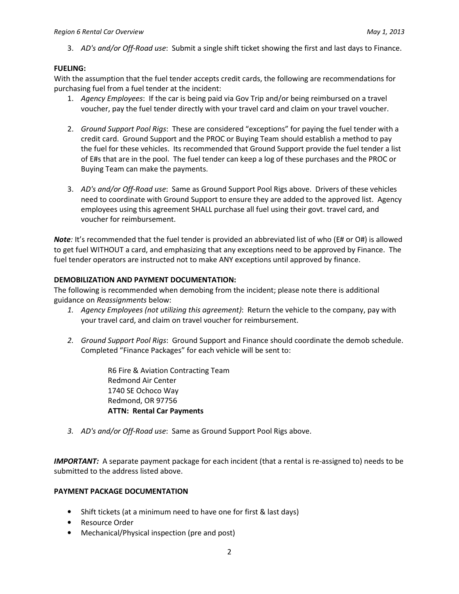3. AD's and/or Off-Road use: Submit a single shift ticket showing the first and last days to Finance.

## FUELING:

With the assumption that the fuel tender accepts credit cards, the following are recommendations for purchasing fuel from a fuel tender at the incident:

- 1. Agency Employees: If the car is being paid via Gov Trip and/or being reimbursed on a travel voucher, pay the fuel tender directly with your travel card and claim on your travel voucher.
- 2. Ground Support Pool Rigs: These are considered "exceptions" for paying the fuel tender with a credit card. Ground Support and the PROC or Buying Team should establish a method to pay the fuel for these vehicles. Its recommended that Ground Support provide the fuel tender a list of E#s that are in the pool. The fuel tender can keep a log of these purchases and the PROC or Buying Team can make the payments.
- 3. AD's and/or Off-Road use: Same as Ground Support Pool Rigs above. Drivers of these vehicles need to coordinate with Ground Support to ensure they are added to the approved list. Agency employees using this agreement SHALL purchase all fuel using their govt. travel card, and voucher for reimbursement.

Note: It's recommended that the fuel tender is provided an abbreviated list of who (E# or O#) is allowed to get fuel WITHOUT a card, and emphasizing that any exceptions need to be approved by Finance. The fuel tender operators are instructed not to make ANY exceptions until approved by finance.

#### DEMOBILIZATION AND PAYMENT DOCUMENTATION:

The following is recommended when demobing from the incident; please note there is additional guidance on Reassignments below:

- 1. Agency Employees (not utilizing this agreement): Return the vehicle to the company, pay with your travel card, and claim on travel voucher for reimbursement.
- 2. Ground Support Pool Rigs: Ground Support and Finance should coordinate the demob schedule. Completed "Finance Packages" for each vehicle will be sent to:

R6 Fire & Aviation Contracting Team Redmond Air Center 1740 SE Ochoco Way Redmond, OR 97756 ATTN: Rental Car Payments

3. AD's and/or Off-Road use: Same as Ground Support Pool Rigs above.

**IMPORTANT:** A separate payment package for each incident (that a rental is re-assigned to) needs to be submitted to the address listed above.

#### PAYMENT PACKAGE DOCUMENTATION

- Shift tickets (at a minimum need to have one for first & last days)
- Resource Order
- Mechanical/Physical inspection (pre and post)